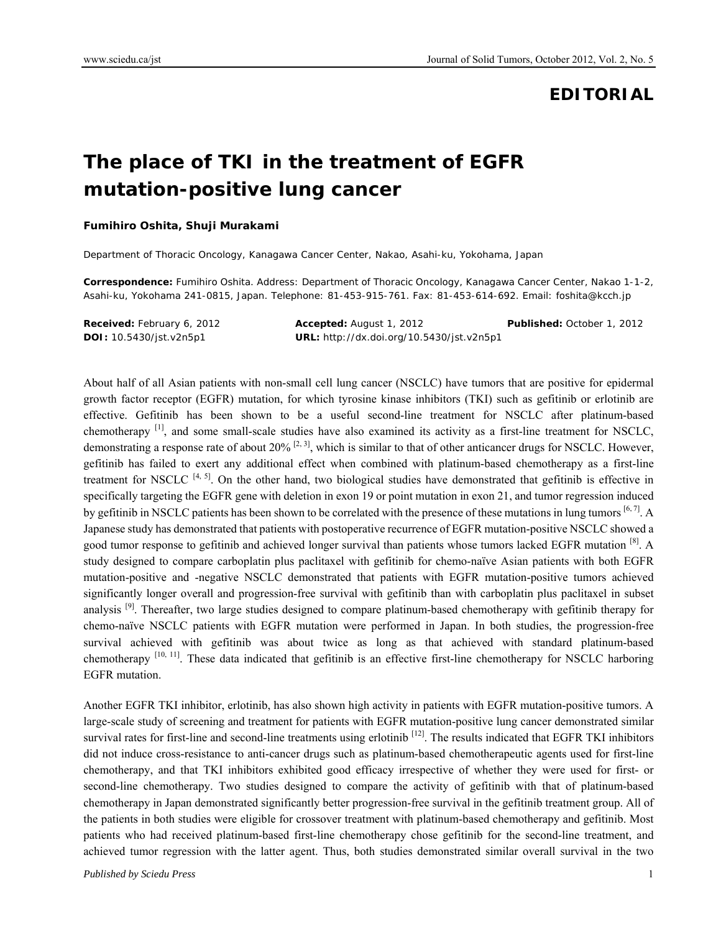## **EDITORIAL**

## **The place of TKI in the treatment of EGFR mutation-positive lung cancer**

## **Fumihiro Oshita, Shuji Murakami**

Department of Thoracic Oncology, Kanagawa Cancer Center, Nakao, Asahi-ku, Yokohama, Japan

**Correspondence:** Fumihiro Oshita. Address: Department of Thoracic Oncology, Kanagawa Cancer Center, Nakao 1-1-2, Asahi-ku, Yokohama 241-0815, Japan. Telephone: 81-453-915-761. Fax: 81-453-614-692. Email: foshita@kcch.jp

| <b>Received:</b> February 6, 2012 | <b>Accepted:</b> August 1, 2012           | <b>Published:</b> October 1, 2012 |
|-----------------------------------|-------------------------------------------|-----------------------------------|
| <b>DOI:</b> 10.5430/jst.v2n5p1    | URL: http://dx.doi.org/10.5430/jst.v2n5p1 |                                   |

About half of all Asian patients with non-small cell lung cancer (NSCLC) have tumors that are positive for epidermal growth factor receptor (EGFR) mutation, for which tyrosine kinase inhibitors (TKI) such as gefitinib or erlotinib are effective. Gefitinib has been shown to be a useful second-line treatment for NSCLC after platinum-based chemotherapy <sup>[1]</sup>, and some small-scale studies have also examined its activity as a first-line treatment for NSCLC, demonstrating a response rate of about 20%  $[2, 3]$ , which is similar to that of other anticancer drugs for NSCLC. However, gefitinib has failed to exert any additional effect when combined with platinum-based chemotherapy as a first-line treatment for NSCLC  $[4, 5]$ . On the other hand, two biological studies have demonstrated that gefitinib is effective in specifically targeting the EGFR gene with deletion in exon 19 or point mutation in exon 21, and tumor regression induced by gefitinib in NSCLC patients has been shown to be correlated with the presence of these mutations in lung tumors  $[6, 7]$ . A Japanese study has demonstrated that patients with postoperative recurrence of EGFR mutation-positive NSCLC showed a good tumor response to gefitinib and achieved longer survival than patients whose tumors lacked EGFR mutation [8]. A study designed to compare carboplatin plus paclitaxel with gefitinib for chemo-naïve Asian patients with both EGFR mutation-positive and -negative NSCLC demonstrated that patients with EGFR mutation-positive tumors achieved significantly longer overall and progression-free survival with gefitinib than with carboplatin plus paclitaxel in subset analysis  $[9]$ . Thereafter, two large studies designed to compare platinum-based chemotherapy with gefitinib therapy for chemo-naïve NSCLC patients with EGFR mutation were performed in Japan. In both studies, the progression-free survival achieved with gefitinib was about twice as long as that achieved with standard platinum-based chemotherapy  $[10, 11]$ . These data indicated that gefitinib is an effective first-line chemotherapy for NSCLC harboring EGFR mutation.

Another EGFR TKI inhibitor, erlotinib, has also shown high activity in patients with EGFR mutation-positive tumors. A large-scale study of screening and treatment for patients with EGFR mutation-positive lung cancer demonstrated similar survival rates for first-line and second-line treatments using erlotinib  $^{[12]}$ . The results indicated that EGFR TKI inhibitors did not induce cross-resistance to anti-cancer drugs such as platinum-based chemotherapeutic agents used for first-line chemotherapy, and that TKI inhibitors exhibited good efficacy irrespective of whether they were used for first- or second-line chemotherapy. Two studies designed to compare the activity of gefitinib with that of platinum-based chemotherapy in Japan demonstrated significantly better progression-free survival in the gefitinib treatment group. All of the patients in both studies were eligible for crossover treatment with platinum-based chemotherapy and gefitinib. Most patients who had received platinum-based first-line chemotherapy chose gefitinib for the second-line treatment, and achieved tumor regression with the latter agent. Thus, both studies demonstrated similar overall survival in the two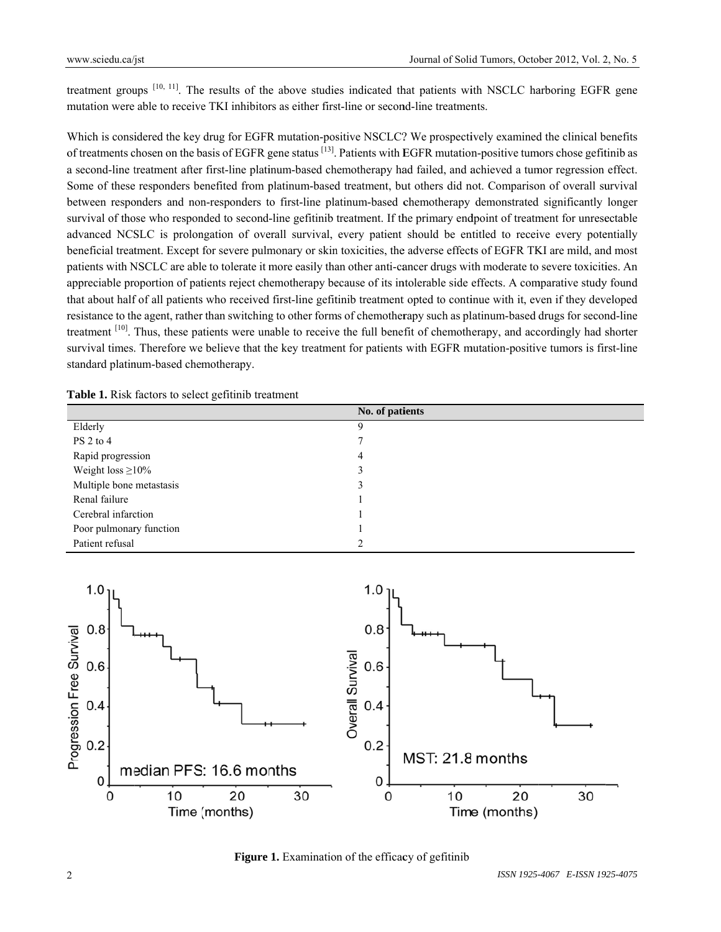treatment groups  $[10, 11]$ . The results of the above studies indicated that patients with NSCLC harboring EGFR gene mutation were able to receive TKI inhibitors as either first-line or second-line treatments.

Which is considered the key drug for EGFR mutation-positive NSCLC? We prospectively examined the clinical benefits of treatments chosen on the basis of EGFR gene status [13]. Patients with EGFR mutation-positive tumors chose gefitinib as a second-line treatment after first-line platinum-based chemotherapy had failed, and achieved a tumor regression effect. between responders and non-responders to first-line platinum-based chemotherapy demonstrated significantly longer advanced NCSLC is prolongation of overall survival, every patient should be entitled to receive every potentially beneficial treatment. Except for severe pulmonary or skin toxicities, the adverse effects of EGFR TKI are mild, and most patients with NSCLC are able to tolerate it more easily than other anti-cancer drugs with moderate to severe toxicities. An appreciable proportion of patients reject chemotherapy because of its intolerable side effects. A comparative study found that about half of all patients who received first-line gefitinib treatment opted to continue with it, even if they developed resistance to the agent, rather than switching to other forms of chemotherapy such as platinum-based drugs for second-line treatment <sup>[10]</sup>. Thus, these patients were unable to receive the full benefit of chemotherapy, and accordingly had shorter Some of these responders benefited from platinum-based treatment, but others did not. Comparison of overall survival survival of those who responded to second-line gefitinib treatment. If the primary endpoint of treatment for unresectable survival times. Therefore we believe that the key treatment for patients with EGFR mutation-positive tumors is first-line standard platinum-based chemotherapy.

|                          | No. of patients |
|--------------------------|-----------------|
| Elderly                  |                 |
| $PS2$ to 4               |                 |
| Rapid progression        | 4               |
| Weight loss $\geq$ 10%   |                 |
| Multiple bone metastasis | 3               |
| Renal failure            |                 |
| Cerebral infarction      |                 |
| Poor pulmonary function  |                 |
| Patient refusal          | ↑               |

Table 1. Risk factors to select gefitinib treatment



Figure 1. Examination of the efficacy of gefitinib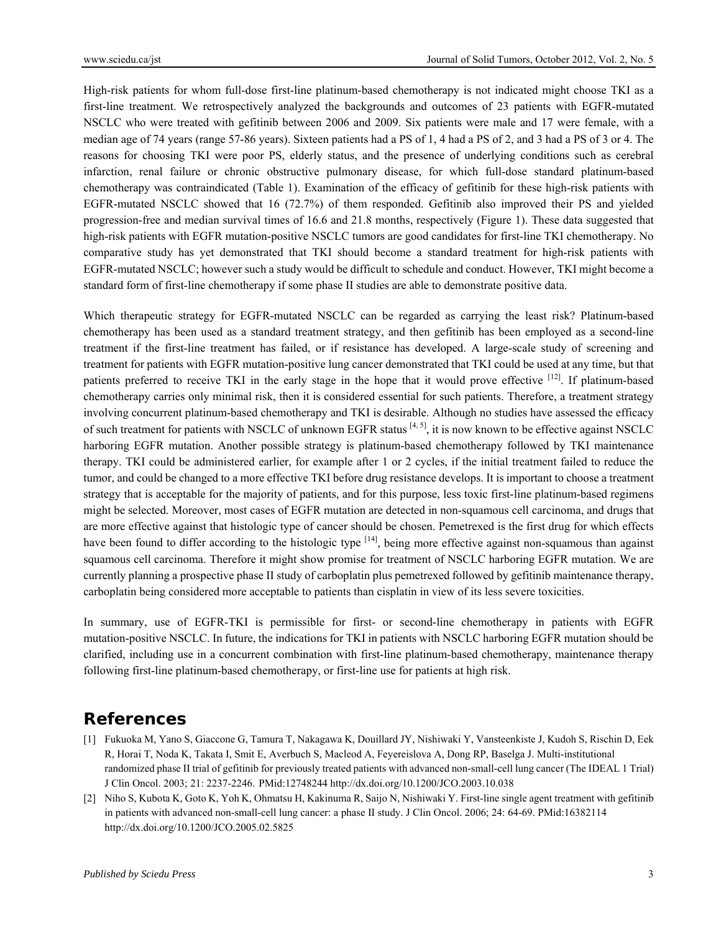High-risk patients for whom full-dose first-line platinum-based chemotherapy is not indicated might choose TKI as a first-line treatment. We retrospectively analyzed the backgrounds and outcomes of 23 patients with EGFR-mutated NSCLC who were treated with gefitinib between 2006 and 2009. Six patients were male and 17 were female, with a median age of 74 years (range 57-86 years). Sixteen patients had a PS of 1, 4 had a PS of 2, and 3 had a PS of 3 or 4. The reasons for choosing TKI were poor PS, elderly status, and the presence of underlying conditions such as cerebral infarction, renal failure or chronic obstructive pulmonary disease, for which full-dose standard platinum-based chemotherapy was contraindicated (Table 1). Examination of the efficacy of gefitinib for these high-risk patients with EGFR-mutated NSCLC showed that 16 (72.7%) of them responded. Gefitinib also improved their PS and yielded progression-free and median survival times of 16.6 and 21.8 months, respectively (Figure 1). These data suggested that high-risk patients with EGFR mutation-positive NSCLC tumors are good candidates for first-line TKI chemotherapy. No comparative study has yet demonstrated that TKI should become a standard treatment for high-risk patients with EGFR-mutated NSCLC; however such a study would be difficult to schedule and conduct. However, TKI might become a standard form of first-line chemotherapy if some phase II studies are able to demonstrate positive data.

Which therapeutic strategy for EGFR-mutated NSCLC can be regarded as carrying the least risk? Platinum-based chemotherapy has been used as a standard treatment strategy, and then gefitinib has been employed as a second-line treatment if the first-line treatment has failed, or if resistance has developed. A large-scale study of screening and treatment for patients with EGFR mutation-positive lung cancer demonstrated that TKI could be used at any time, but that patients preferred to receive TKI in the early stage in the hope that it would prove effective [12]. If platinum-based chemotherapy carries only minimal risk, then it is considered essential for such patients. Therefore, a treatment strategy involving concurrent platinum-based chemotherapy and TKI is desirable. Although no studies have assessed the efficacy of such treatment for patients with NSCLC of unknown EGFR status  $[4, 5]$ , it is now known to be effective against NSCLC harboring EGFR mutation. Another possible strategy is platinum-based chemotherapy followed by TKI maintenance therapy. TKI could be administered earlier, for example after 1 or 2 cycles, if the initial treatment failed to reduce the tumor, and could be changed to a more effective TKI before drug resistance develops. It is important to choose a treatment strategy that is acceptable for the majority of patients, and for this purpose, less toxic first-line platinum-based regimens might be selected. Moreover, most cases of EGFR mutation are detected in non-squamous cell carcinoma, and drugs that are more effective against that histologic type of cancer should be chosen. Pemetrexed is the first drug for which effects have been found to differ according to the histologic type  $[14]$ , being more effective against non-squamous than against squamous cell carcinoma. Therefore it might show promise for treatment of NSCLC harboring EGFR mutation. We are currently planning a prospective phase II study of carboplatin plus pemetrexed followed by gefitinib maintenance therapy, carboplatin being considered more acceptable to patients than cisplatin in view of its less severe toxicities.

In summary, use of EGFR-TKI is permissible for first- or second-line chemotherapy in patients with EGFR mutation-positive NSCLC. In future, the indications for TKI in patients with NSCLC harboring EGFR mutation should be clarified, including use in a concurrent combination with first-line platinum-based chemotherapy, maintenance therapy following first-line platinum-based chemotherapy, or first-line use for patients at high risk.

## **References**

- [1] Fukuoka M, Yano S, Giaccone G, Tamura T, Nakagawa K, Douillard JY, Nishiwaki Y, Vansteenkiste J, Kudoh S, Rischin D, Eek R, Horai T, Noda K, Takata I, Smit E, Averbuch S, Macleod A, Feyereislova A, Dong RP, Baselga J. Multi-institutional randomized phase II trial of gefitinib for previously treated patients with advanced non-small-cell lung cancer (The IDEAL 1 Trial) J Clin Oncol. 2003; 21: 2237-2246. PMid:12748244 http://dx.doi.org/10.1200/JCO.2003.10.038
- [2] Niho S, Kubota K, Goto K, Yoh K, Ohmatsu H, Kakinuma R, Saijo N, Nishiwaki Y. First-line single agent treatment with gefitinib in patients with advanced non-small-cell lung cancer: a phase II study. J Clin Oncol. 2006; 24: 64-69. PMid:16382114 http://dx.doi.org/10.1200/JCO.2005.02.5825